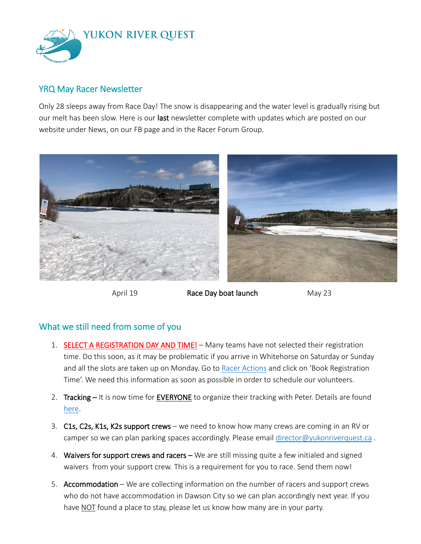

## YRQ May Racer Newsletter

Only 28 sleeps away from Race Day! The snow is disappearing and the water level is gradually rising but our melt has been slow. Here is our last newsletter complete with updates which are posted on our website under News, on our FB page and in the Racer Forum Group.



April 19 **Race Day boat launch** May 23

# What we still need from some of you

- 1. SELECT A REGISTRATION DAY AND TIME! Many teams have not selected their registration time. Do this soon, as it may be problematic if you arrive in Whitehorse on Saturday or Sunday and all the slots are taken up on Monday. Go to [Racer Actions](https://yukonriverquest.ca/yrq/app/entry8/user.php?race=22yrq) and click on 'Book Registration Time'. We need this information as soon as possible in order to schedule our volunteers.
- 2. Tracking It is now time for EVERYONE to organize their tracking with Peter. Details are found [here.](https://yukonriverquest.ca/guide/)
- 3. C1s, C2s, K1s, K2s support crews we need to know how many crews are coming in an RV or camper so we can plan parking spaces accordingly. Please email [director@yukonriverquest.ca](mailto:director@yukonriverquest.ca).
- 4. Waivers for support crews and racers We are still missing quite a few initialed and signed waivers from your support crew. This is a requirement for you to race. Send them now!
- 5. Accommodation We are collecting information on the number of racers and support crews who do not have accommodation in Dawson City so we can plan accordingly next year. If you have NOT found a place to stay, please let us know how many are in your party.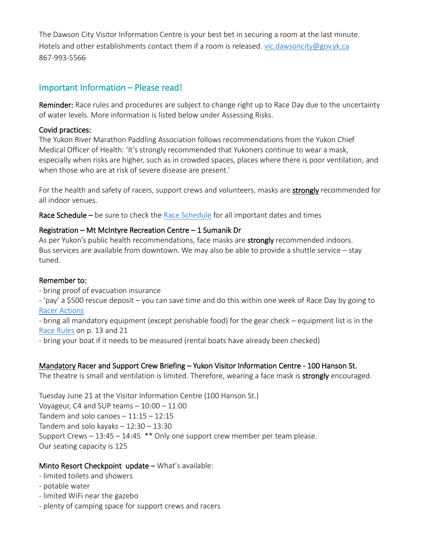The Dawson City Visitor Information Centre is your best bet in securing a room at the last minute. Hotels and other establishments contact them if a room is released. [vic.dawsoncity@gov.yk.ca](mailto:vic.dawsoncity@gov.yk.ca) 867-993-5566

# Important Information – Please read!

Reminder: Race rules and procedures are subject to change right up to Race Day due to the uncertainty of water levels. More information is listed below under Assessing Risks.

### Covid practices:

The Yukon River Marathon Paddling Association follows recommendations from the Yukon Chief Medical Officer of Health: 'It's strongly recommended that Yukoners continue to wear a mask, especially when risks are higher, such as in crowded spaces, places where there is poor ventilation, and when those who are at risk of severe disease are present.'

For the health and safety of racers, support crews and volunteers, masks are **strongly** recommended for all indoor venues.

[Race Schedule](https://www.yukonriverquest.com/2022-race-events-schedule/) – be sure to check the Race Schedule for all important dates and times

## Registration – Mt McIntyre Recreation Centre – 1 Sumanik Dr

As per Yukon's public health recommendations, face masks are strongly recommended indoors. Bus services are available from downtown. We may also be able to provide a shuttle service – stay tuned.

#### Remember to:

- bring proof of evacuation insurance

- 'pay' a \$500 rescue deposit – you can save time and do this within one week of Race Day by going to [Racer Actions](https://yukonriverquest.ca/yrq/app/entry8/user.php?race=22yrq)

- bring all mandatory equipment (except perishable food) for the gear check – equipment list is in the [Race Rules](https://www.yukonriverquest.com/wp-content/uploads/2022/04/Final-revised-Race-Rules-April.-edit.pdf) on p. 13 and 21

- bring your boat if it needs to be measured (rental boats have already been checked)

## Mandatory Racer and Support Crew Briefing – Yukon Visitor Information Centre - 100 Hanson St.

The theatre is small and ventilation is limited. Therefore, wearing a face mask is **strongly** encouraged.

Tuesday June 21 at the Visitor Information Centre (100 Hanson St.) Voyageur, C4 and SUP teams – 10:00 – 11:00 Tandem and solo canoes  $-11:15 - 12:15$ Tandem and solo kayaks – 12:30 – 13:30 Support Crews – 13:45 – 14:45 \*\* Only one support crew member per team please. Our seating capacity is 125

## Minto Resort Checkpoint update - What's available:

- limited toilets and showers
- potable water
- limited WiFi near the gazebo
- plenty of camping space for support crews and racers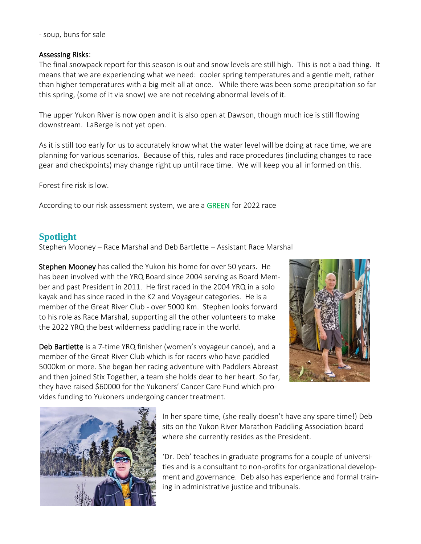- soup, buns for sale

### Assessing Risks:

The final snowpack report for this season is out and snow levels are still high. This is not a bad thing. It means that we are experiencing what we need: cooler spring temperatures and a gentle melt, rather than higher temperatures with a big melt all at once. While there was been some precipitation so far this spring, (some of it via snow) we are not receiving abnormal levels of it.

The upper Yukon River is now open and it is also open at Dawson, though much ice is still flowing downstream. LaBerge is not yet open.

As it is still too early for us to accurately know what the water level will be doing at race time, we are planning for various scenarios. Because of this, rules and race procedures (including changes to race gear and checkpoints) may change right up until race time. We will keep you all informed on this.

Forest fire risk is low.

According to our risk assessment system, we are a GREEN for 2022 race

# **Spotlight**

Stephen Mooney – Race Marshal and Deb Bartlette – Assistant Race Marshal

Stephen Mooney has called the Yukon his home for over 50 years. He has been involved with the YRQ Board since 2004 serving as Board Member and past President in 2011. He first raced in the 2004 YRQ in a solo kayak and has since raced in the K2 and Voyageur categories. He is a member of the Great River Club - over 5000 Km. Stephen looks forward to his role as Race Marshal, supporting all the other volunteers to make the 2022 YRQ the best wilderness paddling race in the world.

Deb Bartlette is a 7-time YRQ finisher (women's voyageur canoe), and a member of the Great River Club which is for racers who have paddled 5000km or more. She began her racing adventure with Paddlers Abreast and then joined Stix Together, a team she holds dear to her heart. So far, they have raised \$60000 for the Yukoners' Cancer Care Fund which provides funding to Yukoners undergoing cancer treatment.





In her spare time, (she really doesn't have any spare time!) Deb sits on the Yukon River Marathon Paddling Association board where she currently resides as the President.

'Dr. Deb' teaches in graduate programs for a couple of universities and is a consultant to non-profits for organizational development and governance. Deb also has experience and formal training in administrative justice and tribunals.